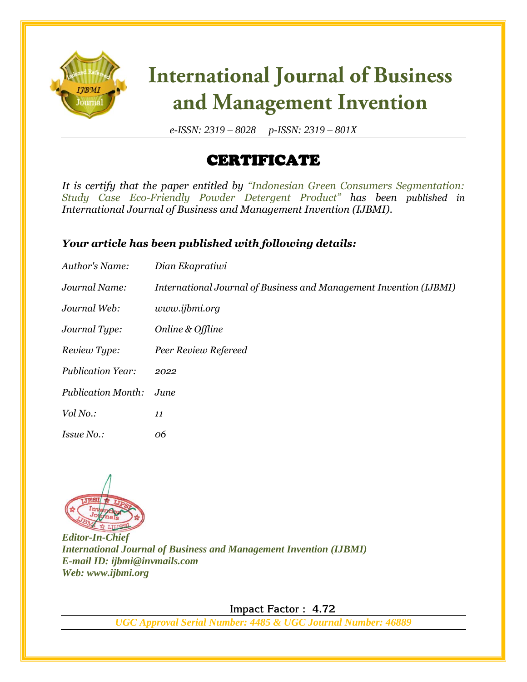

# **International Journal of Business** and Management Invention

*e-ISSN: 2319 – 8028 p-ISSN: 2319 – 801X*

## CERTIFICATE

*It is certify that the paper entitled by "Indonesian Green Consumers Segmentation: Study Case Eco-Friendly Powder Detergent Product" has been published in International Journal of Business and Management Invention (IJBMI).*

### *Your article has been published with following details:*

| Author's Name:            | Dian Ekapratiwi                                                    |
|---------------------------|--------------------------------------------------------------------|
| Journal Name:             | International Journal of Business and Management Invention (IJBMI) |
| Journal Web:              | www.ijbmi.org                                                      |
| Journal Type:             | Online & Offline                                                   |
| Review Type:              | Peer Review Refereed                                               |
| <b>Publication Year:</b>  | 2022                                                               |
| <b>Publication Month:</b> | June                                                               |
| Vol No.:                  | 11                                                                 |
| <i>Issue No.:</i>         | 06                                                                 |



*Editor-In-Chief International Journal of Business and Management Invention (IJBMI) E-mail ID: ijbmi@invmails.com Web: www.ijbmi.org*

 **Impact Factor : 4.72** 

*UGC Approval Serial Number: 4485 & UGC Journal Number: 46889*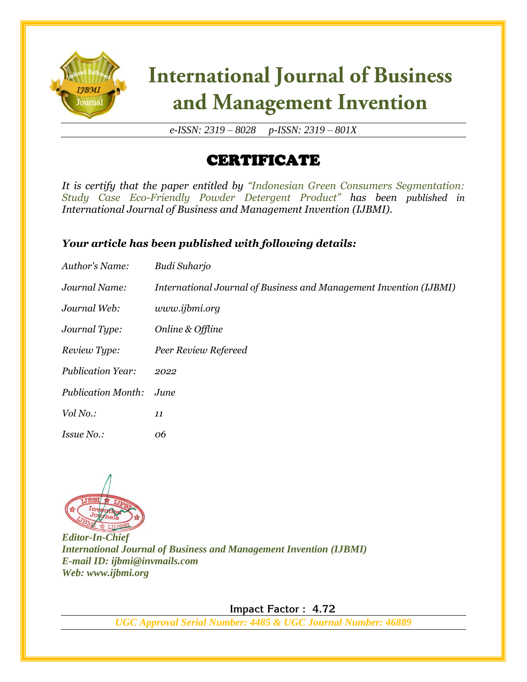

# **International Journal of Business** and Management Invention

*e-ISSN: 2319 – 8028 p-ISSN: 2319 – 801X*

## CERTIFICATE

*It is certify that the paper entitled by "Indonesian Green Consumers Segmentation: Study Case Eco-Friendly Powder Detergent Product" has been published in International Journal of Business and Management Invention (IJBMI).*

### *Your article has been published with following details:*

| Author's Name:            | Budi Suharjo                                                       |
|---------------------------|--------------------------------------------------------------------|
| Journal Name:             | International Journal of Business and Management Invention (IJBMI) |
| Journal Web:              | www.ijbmi.org                                                      |
| Journal Type:             | Online & Offline                                                   |
| Review Type:              | Peer Review Refereed                                               |
| <b>Publication Year:</b>  | 2022                                                               |
| <b>Publication Month:</b> | June                                                               |
| Vol No.:                  | 11                                                                 |
| <i>Issue No.:</i>         | 06                                                                 |



*Editor-In-Chief International Journal of Business and Management Invention (IJBMI) E-mail ID: ijbmi@invmails.com Web: www.ijbmi.org*

 **Impact Factor : 4.72** 

*UGC Approval Serial Number: 4485 & UGC Journal Number: 46889*